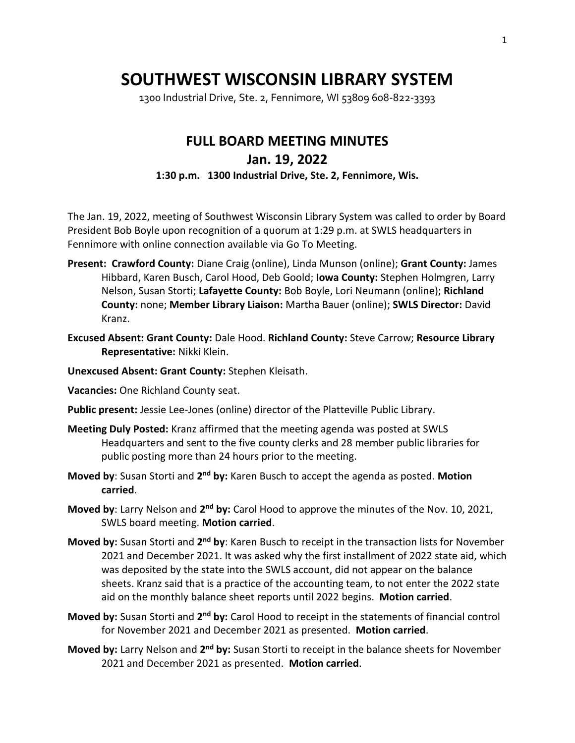## **SOUTHWEST WISCONSIN LIBRARY SYSTEM**

1300 Industrial Drive, Ste. 2, Fennimore, WI 53809 608-822-3393

## **FULL BOARD MEETING MINUTES Jan. 19, 2022 1:30 p.m. 1300 Industrial Drive, Ste. 2, Fennimore, Wis.**

The Jan. 19, 2022, meeting of Southwest Wisconsin Library System was called to order by Board President Bob Boyle upon recognition of a quorum at 1:29 p.m. at SWLS headquarters in Fennimore with online connection available via Go To Meeting.

- **Present: Crawford County:** Diane Craig (online), Linda Munson (online); **Grant County:** James Hibbard, Karen Busch, Carol Hood, Deb Goold; **Iowa County:** Stephen Holmgren, Larry Nelson, Susan Storti; **Lafayette County:** Bob Boyle, Lori Neumann (online); **Richland County:** none; **Member Library Liaison:** Martha Bauer (online); **SWLS Director:** David Kranz.
- **Excused Absent: Grant County:** Dale Hood. **Richland County:** Steve Carrow; **Resource Library Representative:** Nikki Klein.
- **Unexcused Absent: Grant County:** Stephen Kleisath.

**Vacancies:** One Richland County seat.

- **Public present:** Jessie Lee-Jones (online) director of the Platteville Public Library.
- **Meeting Duly Posted:** Kranz affirmed that the meeting agenda was posted at SWLS Headquarters and sent to the five county clerks and 28 member public libraries for public posting more than 24 hours prior to the meeting.
- **Moved by**: Susan Storti and 2<sup>nd</sup> by: Karen Busch to accept the agenda as posted. Motion **carried**.
- **Moved by**: Larry Nelson and 2<sup>nd</sup> by: Carol Hood to approve the minutes of the Nov. 10, 2021, SWLS board meeting. **Motion carried**.
- **Moved by:** Susan Storti and 2<sup>nd</sup> by: Karen Busch to receipt in the transaction lists for November 2021 and December 2021. It was asked why the first installment of 2022 state aid, which was deposited by the state into the SWLS account, did not appear on the balance sheets. Kranz said that is a practice of the accounting team, to not enter the 2022 state aid on the monthly balance sheet reports until 2022 begins. **Motion carried**.
- **Moved by:** Susan Storti and 2<sup>nd</sup> by: Carol Hood to receipt in the statements of financial control for November 2021 and December 2021 as presented. **Motion carried**.
- **Moved by:** Larry Nelson and 2<sup>nd</sup> by: Susan Storti to receipt in the balance sheets for November 2021 and December 2021 as presented. **Motion carried**.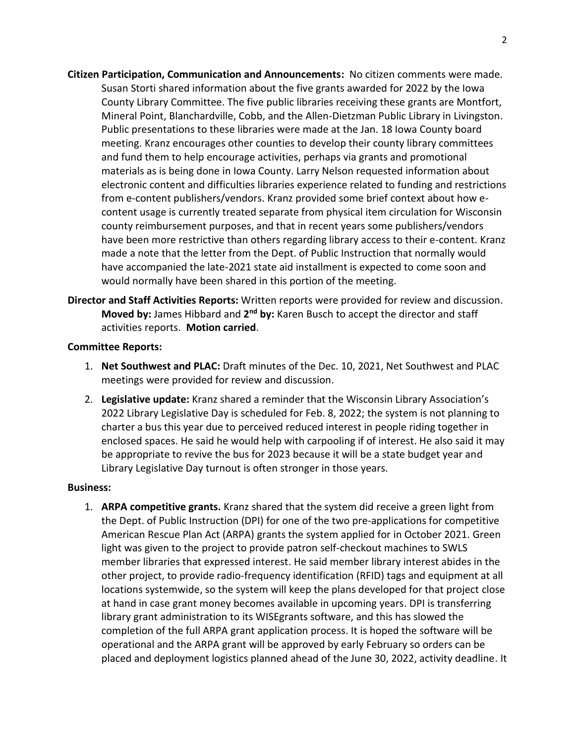- **Citizen Participation, Communication and Announcements:** No citizen comments were made. Susan Storti shared information about the five grants awarded for 2022 by the Iowa County Library Committee. The five public libraries receiving these grants are Montfort, Mineral Point, Blanchardville, Cobb, and the Allen-Dietzman Public Library in Livingston. Public presentations to these libraries were made at the Jan. 18 Iowa County board meeting. Kranz encourages other counties to develop their county library committees and fund them to help encourage activities, perhaps via grants and promotional materials as is being done in Iowa County. Larry Nelson requested information about electronic content and difficulties libraries experience related to funding and restrictions from e-content publishers/vendors. Kranz provided some brief context about how econtent usage is currently treated separate from physical item circulation for Wisconsin county reimbursement purposes, and that in recent years some publishers/vendors have been more restrictive than others regarding library access to their e-content. Kranz made a note that the letter from the Dept. of Public Instruction that normally would have accompanied the late-2021 state aid installment is expected to come soon and would normally have been shared in this portion of the meeting.
- **Director and Staff Activities Reports:** Written reports were provided for review and discussion. **Moved by:** James Hibbard and 2<sup>nd</sup> by: Karen Busch to accept the director and staff activities reports. **Motion carried**.

## **Committee Reports:**

- 1. **Net Southwest and PLAC:** Draft minutes of the Dec. 10, 2021, Net Southwest and PLAC meetings were provided for review and discussion.
- 2. **Legislative update:** Kranz shared a reminder that the Wisconsin Library Association's 2022 Library Legislative Day is scheduled for Feb. 8, 2022; the system is not planning to charter a bus this year due to perceived reduced interest in people riding together in enclosed spaces. He said he would help with carpooling if of interest. He also said it may be appropriate to revive the bus for 2023 because it will be a state budget year and Library Legislative Day turnout is often stronger in those years.

## **Business:**

1. **ARPA competitive grants.** Kranz shared that the system did receive a green light from the Dept. of Public Instruction (DPI) for one of the two pre-applications for competitive American Rescue Plan Act (ARPA) grants the system applied for in October 2021. Green light was given to the project to provide patron self-checkout machines to SWLS member libraries that expressed interest. He said member library interest abides in the other project, to provide radio-frequency identification (RFID) tags and equipment at all locations systemwide, so the system will keep the plans developed for that project close at hand in case grant money becomes available in upcoming years. DPI is transferring library grant administration to its WISEgrants software, and this has slowed the completion of the full ARPA grant application process. It is hoped the software will be operational and the ARPA grant will be approved by early February so orders can be placed and deployment logistics planned ahead of the June 30, 2022, activity deadline. It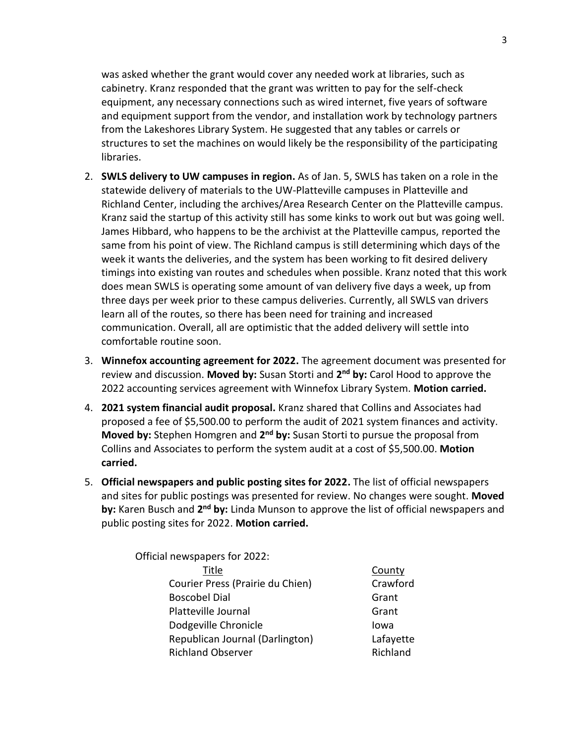was asked whether the grant would cover any needed work at libraries, such as cabinetry. Kranz responded that the grant was written to pay for the self-check equipment, any necessary connections such as wired internet, five years of software and equipment support from the vendor, and installation work by technology partners from the Lakeshores Library System. He suggested that any tables or carrels or structures to set the machines on would likely be the responsibility of the participating libraries.

- 2. **SWLS delivery to UW campuses in region.** As of Jan. 5, SWLS has taken on a role in the statewide delivery of materials to the UW-Platteville campuses in Platteville and Richland Center, including the archives/Area Research Center on the Platteville campus. Kranz said the startup of this activity still has some kinks to work out but was going well. James Hibbard, who happens to be the archivist at the Platteville campus, reported the same from his point of view. The Richland campus is still determining which days of the week it wants the deliveries, and the system has been working to fit desired delivery timings into existing van routes and schedules when possible. Kranz noted that this work does mean SWLS is operating some amount of van delivery five days a week, up from three days per week prior to these campus deliveries. Currently, all SWLS van drivers learn all of the routes, so there has been need for training and increased communication. Overall, all are optimistic that the added delivery will settle into comfortable routine soon.
- 3. **Winnefox accounting agreement for 2022.** The agreement document was presented for review and discussion. Moved by: Susan Storti and 2<sup>nd</sup> by: Carol Hood to approve the 2022 accounting services agreement with Winnefox Library System. **Motion carried.**
- 4. **2021 system financial audit proposal.** Kranz shared that Collins and Associates had proposed a fee of \$5,500.00 to perform the audit of 2021 system finances and activity. **Moved by:** Stephen Homgren and 2<sup>nd</sup> by: Susan Storti to pursue the proposal from Collins and Associates to perform the system audit at a cost of \$5,500.00. **Motion carried.**
- 5. **Official newspapers and public posting sites for 2022.** The list of official newspapers and sites for public postings was presented for review. No changes were sought. **Moved**  by: Karen Busch and 2<sup>nd</sup> by: Linda Munson to approve the list of official newspapers and public posting sites for 2022. **Motion carried.**

Official newspapers for 2022: Title County Courier Press (Prairie du Chien) Crawford Boscobel Dial Grant Platteville Journal Grant Dodgeville Chronicle **International** Iowa Republican Journal (Darlington) Lafayette Richland Observer **Richland**